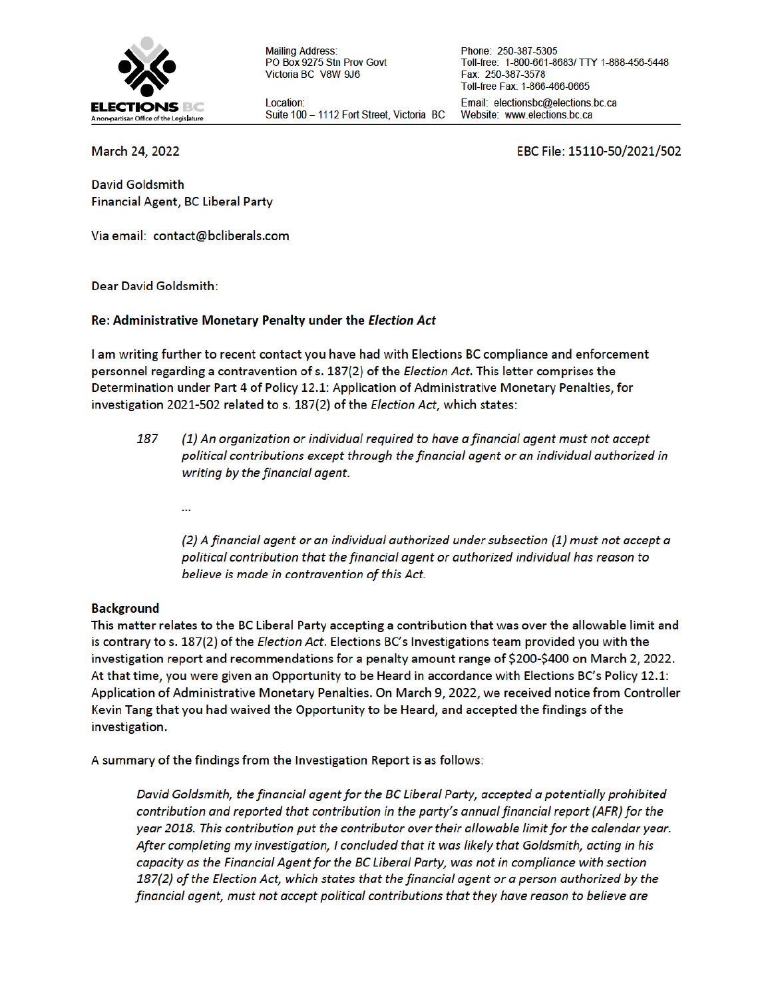

**Mailing Address:** PO Box 9275 Stn Prov Govt Victoria BC V8W 9J6

Location: Suite 100 - 1112 Fort Street, Victoria BC

Phone: 250-387-5305 Toll-free: 1-800-661-8683/ TTY 1-888-456-5448 Fax: 250-387-3578 Toll-free Fax: 1-866-466-0665 Email: electionsbc@elections.bc.ca Website: www.elections.bc.ca

March 24, 2022

EBC File: 15110-50/2021/502

**David Goldsmith** Financial Agent, BC Liberal Party

Via email: contact@bcliberals.com

**Dear David Goldsmith:** 

### Re: Administrative Monetary Penalty under the Election Act

I am writing further to recent contact you have had with Elections BC compliance and enforcement personnel regarding a contravention of s. 187(2) of the *Election Act*. This letter comprises the Determination under Part 4 of Policy 12.1: Application of Administrative Monetary Penalties, for investigation 2021-502 related to s. 187(2) of the Election Act, which states:

- 187 (1) An organization or individual required to have a financial agent must not accept political contributions except through the financial agent or an individual authorized in writing by the financial agent.
	- ...

(2) A financial agent or an individual authorized under subsection (1) must not accept a political contribution that the financial agent or authorized individual has reason to believe is made in contravention of this Act.

#### **Background**

This matter relates to the BC Liberal Party accepting a contribution that was over the allowable limit and is contrary to s. 187(2) of the *Election Act*. Elections BC's Investigations team provided you with the investigation report and recommendations for a penalty amount range of \$200-\$400 on March 2, 2022. At that time, you were given an Opportunity to be Heard in accordance with Elections BC's Policy 12.1: Application of Administrative Monetary Penalties. On March 9, 2022, we received notice from Controller Kevin Tang that you had waived the Opportunity to be Heard, and accepted the findings of the investigation.

A summary of the findings from the Investigation Report is as follows:

David Goldsmith, the financial agent for the BC Liberal Party, accepted a potentially prohibited contribution and reported that contribution in the party's annual financial report (AFR) for the year 2018. This contribution put the contributor over their allowable limit for the calendar year. After completing my investigation, I concluded that it was likely that Goldsmith, acting in his capacity as the Financial Agent for the BC Liberal Party, was not in compliance with section 187(2) of the Election Act, which states that the financial agent or a person authorized by the financial agent, must not accept political contributions that they have reason to believe are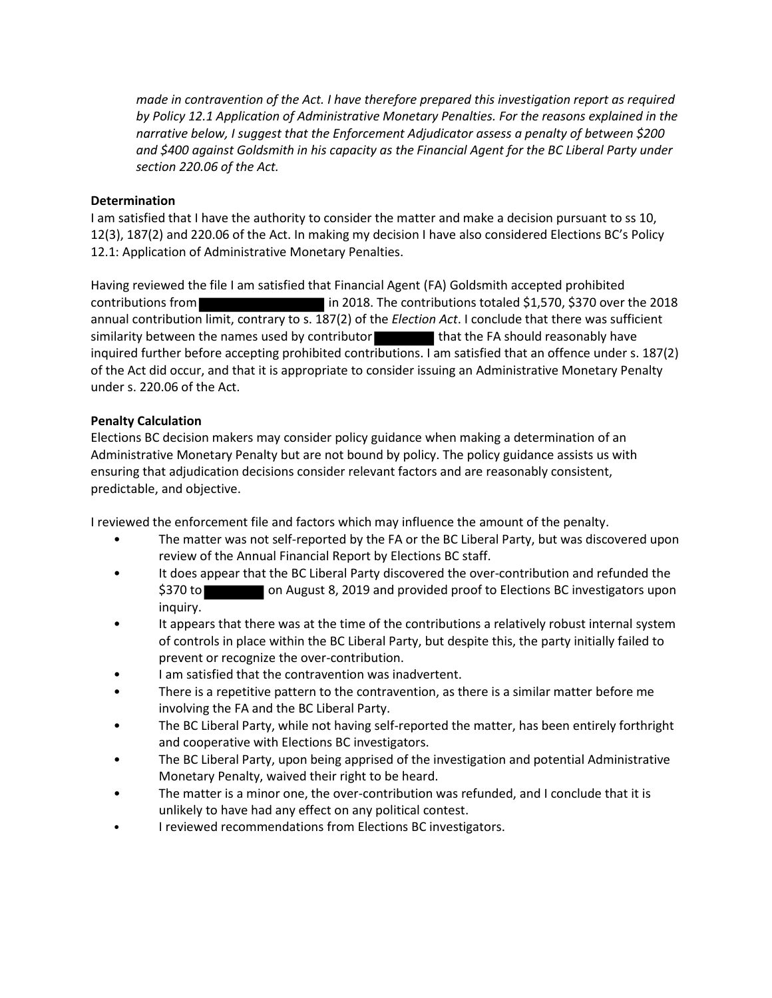*made in contravention of the Act. I have therefore prepared this investigation report as required by Policy 12.1 Application of Administrative Monetary Penalties. For the reasons explained in the narrative below, I suggest that the Enforcement Adjudicator assess a penalty of between \$200 and \$400 against Goldsmith in his capacity as the Financial Agent for the BC Liberal Party under section 220.06 of the Act.*

# **Determination**

I am satisfied that I have the authority to consider the matter and make a decision pursuant to ss 10, 12(3), 187(2) and 220.06 of the Act. In making my decision I have also considered Elections BC's Policy 12.1: Application of Administrative Monetary Penalties.

Having reviewed the file I am satisfied that Financial Agent (FA) Goldsmith accepted prohibited contributions from in 2018. The contributions totaled \$1,570, \$370 over the 2018 annual contribution limit, contrary to s. 187(2) of the *Election Act*. I conclude that there was sufficient similarity between the names used by contributor that the FA should reasonably have inquired further before accepting prohibited contributions. I am satisfied that an offence under s. 187(2) of the Act did occur, and that it is appropriate to consider issuing an Administrative Monetary Penalty under s. 220.06 of the Act.

# **Penalty Calculation**

Elections BC decision makers may consider policy guidance when making a determination of an Administrative Monetary Penalty but are not bound by policy. The policy guidance assists us with ensuring that adjudication decisions consider relevant factors and are reasonably consistent, predictable, and objective.

I reviewed the enforcement file and factors which may influence the amount of the penalty.

- The matter was not self-reported by the FA or the BC Liberal Party, but was discovered upon review of the Annual Financial Report by Elections BC staff.
- It does appear that the BC Liberal Party discovered the over-contribution and refunded the \$370 to on August 8, 2019 and provided proof to Elections BC investigators upon inquiry.
- It appears that there was at the time of the contributions a relatively robust internal system of controls in place within the BC Liberal Party, but despite this, the party initially failed to prevent or recognize the over-contribution.
- I am satisfied that the contravention was inadvertent.
- There is a repetitive pattern to the contravention, as there is a similar matter before me involving the FA and the BC Liberal Party.
- The BC Liberal Party, while not having self-reported the matter, has been entirely forthright and cooperative with Elections BC investigators.
- The BC Liberal Party, upon being apprised of the investigation and potential Administrative Monetary Penalty, waived their right to be heard.
- The matter is a minor one, the over-contribution was refunded, and I conclude that it is unlikely to have had any effect on any political contest.
- I reviewed recommendations from Elections BC investigators.